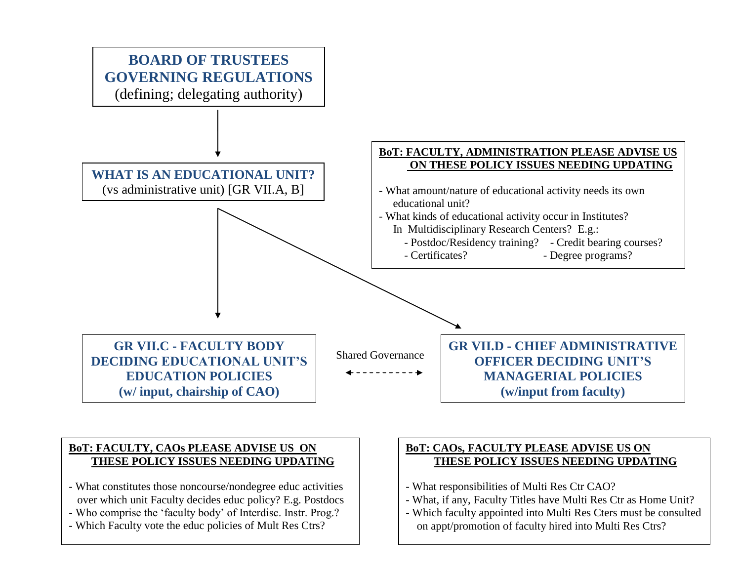

### **BoT: FACULTY, CAOs PLEASE ADVISE US ON THESE POLICY ISSUES NEEDING UPDATING**

- What constitutes those noncourse/nondegree educ activities over which unit Faculty decides educ policy? E.g. Postdocs
- Who comprise the "faculty body" of Interdisc. Instr. Prog.?
- Which Faculty vote the educ policies of Mult Res Ctrs?

### **BoT: CAOs, FACULTY PLEASE ADVISE US ON THESE POLICY ISSUES NEEDING UPDATING**

- What responsibilities of Multi Res Ctr CAO?
- What, if any, Faculty Titles have Multi Res Ctr as Home Unit?
- Which faculty appointed into Multi Res Cters must be consulted on appt/promotion of faculty hired into Multi Res Ctrs?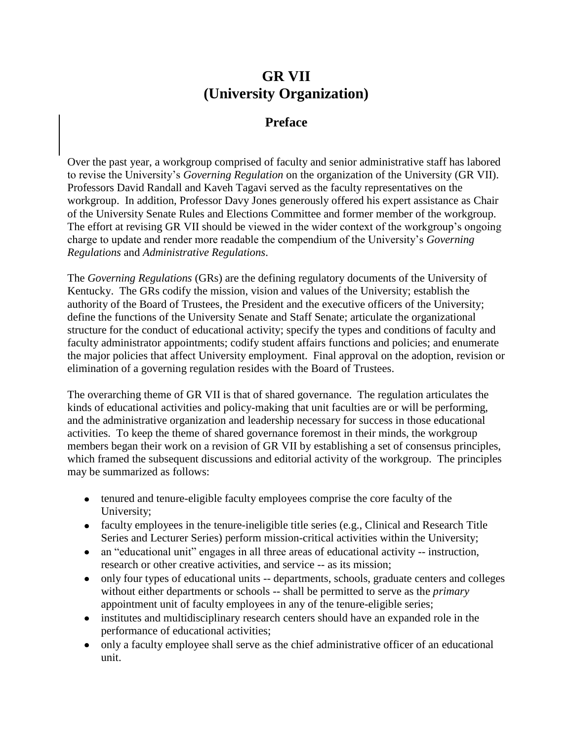# **GR VII (University Organization)**

## **Preface**

Over the past year, a workgroup comprised of faculty and senior administrative staff has labored to revise the University"s *Governing Regulation* on the organization of the University (GR VII). Professors David Randall and Kaveh Tagavi served as the faculty representatives on the workgroup. In addition, Professor Davy Jones generously offered his expert assistance as Chair of the University Senate Rules and Elections Committee and former member of the workgroup. The effort at revising GR VII should be viewed in the wider context of the workgroup's ongoing charge to update and render more readable the compendium of the University"s *Governing Regulations* and *Administrative Regulations*.

The *Governing Regulations* (GRs) are the defining regulatory documents of the University of Kentucky. The GRs codify the mission, vision and values of the University; establish the authority of the Board of Trustees, the President and the executive officers of the University; define the functions of the University Senate and Staff Senate; articulate the organizational structure for the conduct of educational activity; specify the types and conditions of faculty and faculty administrator appointments; codify student affairs functions and policies; and enumerate the major policies that affect University employment. Final approval on the adoption, revision or elimination of a governing regulation resides with the Board of Trustees.

The overarching theme of GR VII is that of shared governance. The regulation articulates the kinds of educational activities and policy-making that unit faculties are or will be performing, and the administrative organization and leadership necessary for success in those educational activities. To keep the theme of shared governance foremost in their minds, the workgroup members began their work on a revision of GR VII by establishing a set of consensus principles, which framed the subsequent discussions and editorial activity of the workgroup. The principles may be summarized as follows:

- tenured and tenure-eligible faculty employees comprise the core faculty of the University;
- faculty employees in the tenure-ineligible title series (e.g., Clinical and Research Title Series and Lecturer Series) perform mission-critical activities within the University;
- an "educational unit" engages in all three areas of educational activity -- instruction, research or other creative activities, and service -- as its mission;
- only four types of educational units -- departments, schools, graduate centers and colleges without either departments or schools -- shall be permitted to serve as the *primary* appointment unit of faculty employees in any of the tenure-eligible series;
- institutes and multidisciplinary research centers should have an expanded role in the performance of educational activities;
- only a faculty employee shall serve as the chief administrative officer of an educational  $\bullet$ unit.